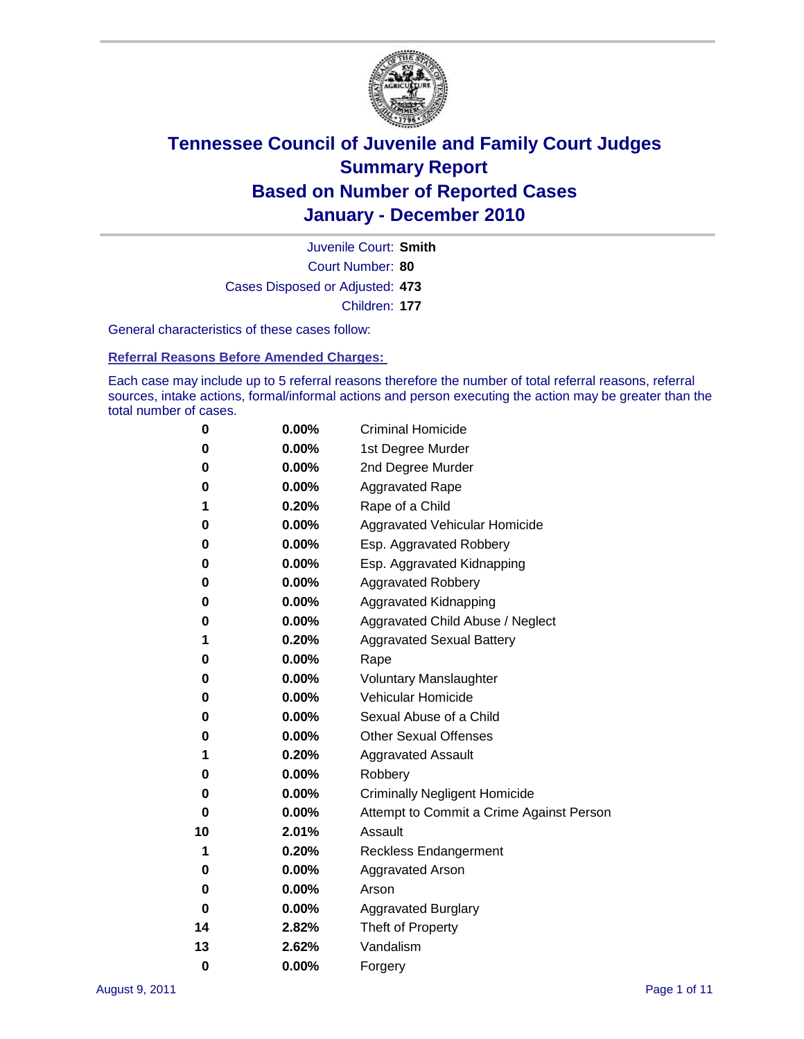

Court Number: **80** Juvenile Court: **Smith** Cases Disposed or Adjusted: **473** Children: **177**

General characteristics of these cases follow:

**Referral Reasons Before Amended Charges:** 

Each case may include up to 5 referral reasons therefore the number of total referral reasons, referral sources, intake actions, formal/informal actions and person executing the action may be greater than the total number of cases.

| 0  | 0.00% | <b>Criminal Homicide</b>                 |
|----|-------|------------------------------------------|
| 0  | 0.00% | 1st Degree Murder                        |
| 0  | 0.00% | 2nd Degree Murder                        |
| 0  | 0.00% | <b>Aggravated Rape</b>                   |
| 1  | 0.20% | Rape of a Child                          |
| 0  | 0.00% | Aggravated Vehicular Homicide            |
| 0  | 0.00% | Esp. Aggravated Robbery                  |
| 0  | 0.00% | Esp. Aggravated Kidnapping               |
| 0  | 0.00% | <b>Aggravated Robbery</b>                |
| 0  | 0.00% | Aggravated Kidnapping                    |
| 0  | 0.00% | Aggravated Child Abuse / Neglect         |
| 1  | 0.20% | <b>Aggravated Sexual Battery</b>         |
| 0  | 0.00% | Rape                                     |
| 0  | 0.00% | <b>Voluntary Manslaughter</b>            |
| 0  | 0.00% | Vehicular Homicide                       |
| 0  | 0.00% | Sexual Abuse of a Child                  |
| 0  | 0.00% | <b>Other Sexual Offenses</b>             |
| 1  | 0.20% | <b>Aggravated Assault</b>                |
| 0  | 0.00% | Robbery                                  |
| 0  | 0.00% | <b>Criminally Negligent Homicide</b>     |
| 0  | 0.00% | Attempt to Commit a Crime Against Person |
| 10 | 2.01% | Assault                                  |
| 1  | 0.20% | <b>Reckless Endangerment</b>             |
| 0  | 0.00% | <b>Aggravated Arson</b>                  |
| 0  | 0.00% | Arson                                    |
| 0  | 0.00% | <b>Aggravated Burglary</b>               |
| 14 | 2.82% | Theft of Property                        |
| 13 | 2.62% | Vandalism                                |
| 0  | 0.00% | Forgery                                  |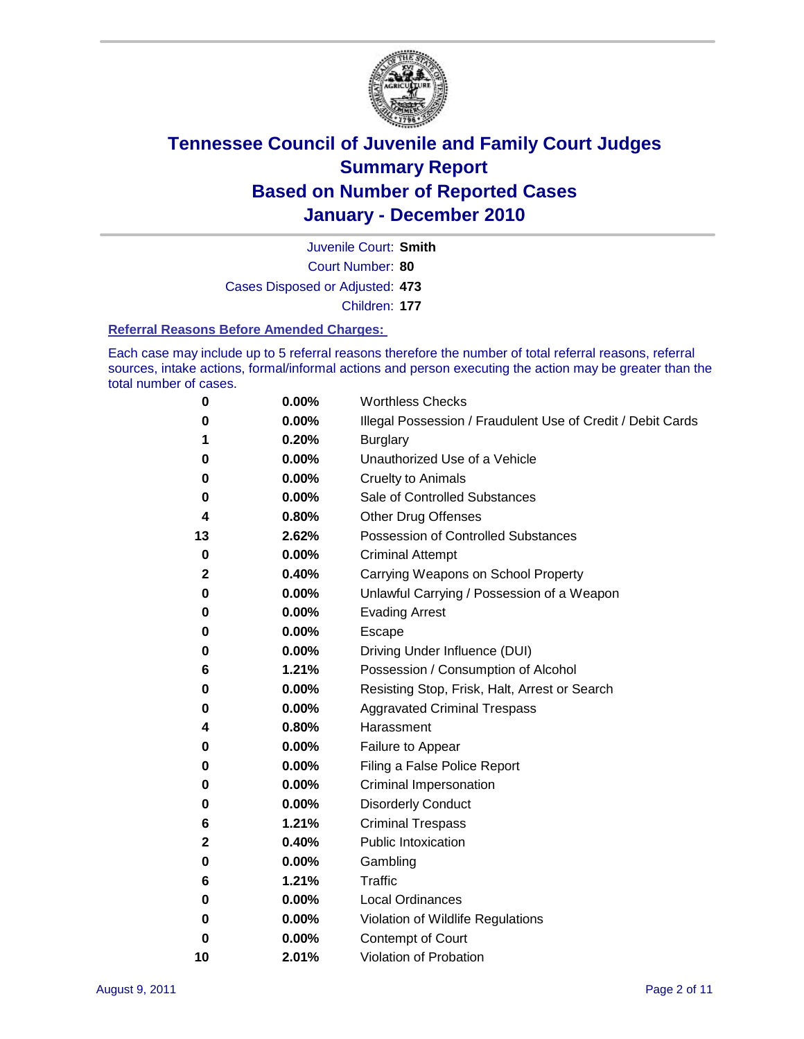

Court Number: **80** Juvenile Court: **Smith** Cases Disposed or Adjusted: **473** Children: **177**

#### **Referral Reasons Before Amended Charges:**

Each case may include up to 5 referral reasons therefore the number of total referral reasons, referral sources, intake actions, formal/informal actions and person executing the action may be greater than the total number of cases.

| 0  | 0.00% | <b>Worthless Checks</b>                                     |
|----|-------|-------------------------------------------------------------|
| 0  | 0.00% | Illegal Possession / Fraudulent Use of Credit / Debit Cards |
| 1  | 0.20% | <b>Burglary</b>                                             |
| 0  | 0.00% | Unauthorized Use of a Vehicle                               |
| 0  | 0.00% | <b>Cruelty to Animals</b>                                   |
| 0  | 0.00% | Sale of Controlled Substances                               |
| 4  | 0.80% | <b>Other Drug Offenses</b>                                  |
| 13 | 2.62% | <b>Possession of Controlled Substances</b>                  |
| 0  | 0.00% | <b>Criminal Attempt</b>                                     |
| 2  | 0.40% | Carrying Weapons on School Property                         |
| 0  | 0.00% | Unlawful Carrying / Possession of a Weapon                  |
| 0  | 0.00% | <b>Evading Arrest</b>                                       |
| 0  | 0.00% | Escape                                                      |
| 0  | 0.00% | Driving Under Influence (DUI)                               |
| 6  | 1.21% | Possession / Consumption of Alcohol                         |
| 0  | 0.00% | Resisting Stop, Frisk, Halt, Arrest or Search               |
| 0  | 0.00% | <b>Aggravated Criminal Trespass</b>                         |
| 4  | 0.80% | Harassment                                                  |
| 0  | 0.00% | Failure to Appear                                           |
| 0  | 0.00% | Filing a False Police Report                                |
| 0  | 0.00% | Criminal Impersonation                                      |
| 0  | 0.00% | <b>Disorderly Conduct</b>                                   |
| 6  | 1.21% | <b>Criminal Trespass</b>                                    |
| 2  | 0.40% | <b>Public Intoxication</b>                                  |
| 0  | 0.00% | Gambling                                                    |
| 6  | 1.21% | Traffic                                                     |
| 0  | 0.00% | <b>Local Ordinances</b>                                     |
| 0  | 0.00% | Violation of Wildlife Regulations                           |
| 0  | 0.00% | Contempt of Court                                           |
| 10 | 2.01% | Violation of Probation                                      |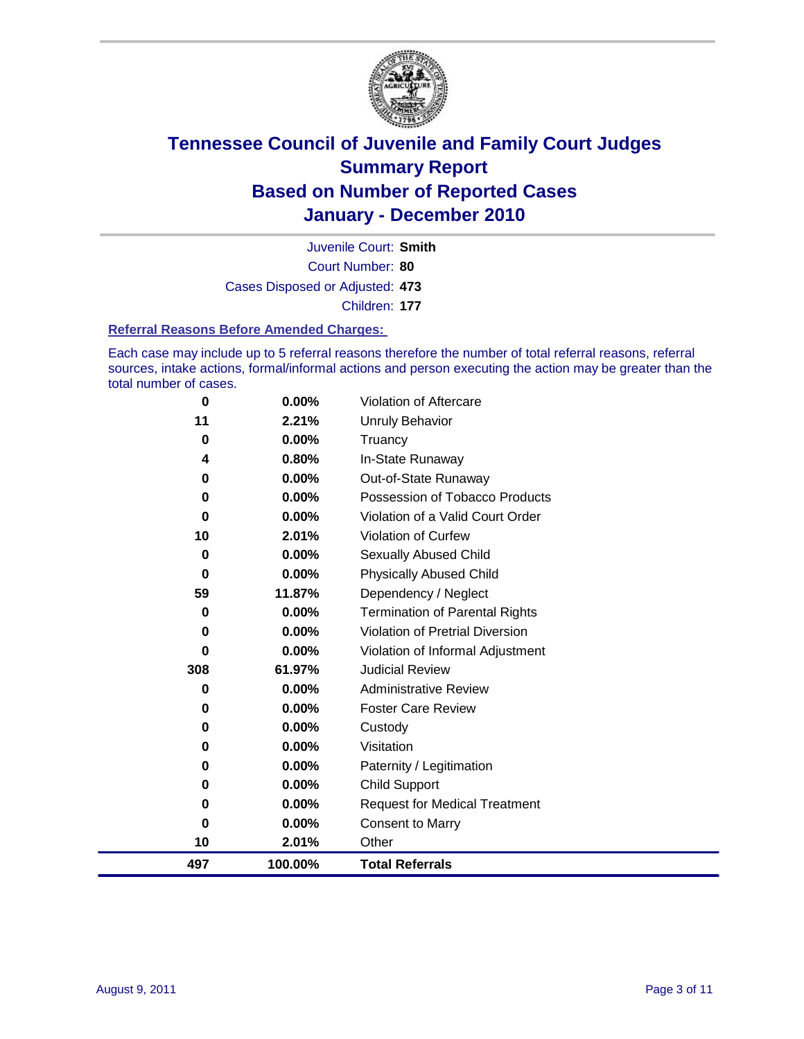

Court Number: **80** Juvenile Court: **Smith** Cases Disposed or Adjusted: **473** Children: **177**

#### **Referral Reasons Before Amended Charges:**

Each case may include up to 5 referral reasons therefore the number of total referral reasons, referral sources, intake actions, formal/informal actions and person executing the action may be greater than the total number of cases.

| 100.00%  | <b>Total Referrals</b>                                                                           |
|----------|--------------------------------------------------------------------------------------------------|
| 2.01%    | Other                                                                                            |
| 0.00%    | <b>Consent to Marry</b>                                                                          |
| $0.00\%$ | <b>Request for Medical Treatment</b>                                                             |
| $0.00\%$ | <b>Child Support</b>                                                                             |
| $0.00\%$ | Paternity / Legitimation                                                                         |
| 0.00%    | Visitation                                                                                       |
| 0.00%    | Custody                                                                                          |
| $0.00\%$ | <b>Foster Care Review</b>                                                                        |
| $0.00\%$ | <b>Administrative Review</b>                                                                     |
| 61.97%   | <b>Judicial Review</b>                                                                           |
| $0.00\%$ | Violation of Informal Adjustment                                                                 |
| $0.00\%$ | <b>Violation of Pretrial Diversion</b>                                                           |
| $0.00\%$ | Termination of Parental Rights                                                                   |
|          | Dependency / Neglect                                                                             |
|          | <b>Physically Abused Child</b>                                                                   |
|          | Sexually Abused Child                                                                            |
|          | <b>Violation of Curfew</b>                                                                       |
|          | Violation of a Valid Court Order                                                                 |
|          | Possession of Tobacco Products                                                                   |
|          | Out-of-State Runaway                                                                             |
|          | Truancy<br>In-State Runaway                                                                      |
|          | Unruly Behavior                                                                                  |
|          |                                                                                                  |
|          | 2.21%<br>0.00%<br>0.80%<br>$0.00\%$<br>$0.00\%$<br>0.00%<br>2.01%<br>$0.00\%$<br>0.00%<br>11.87% |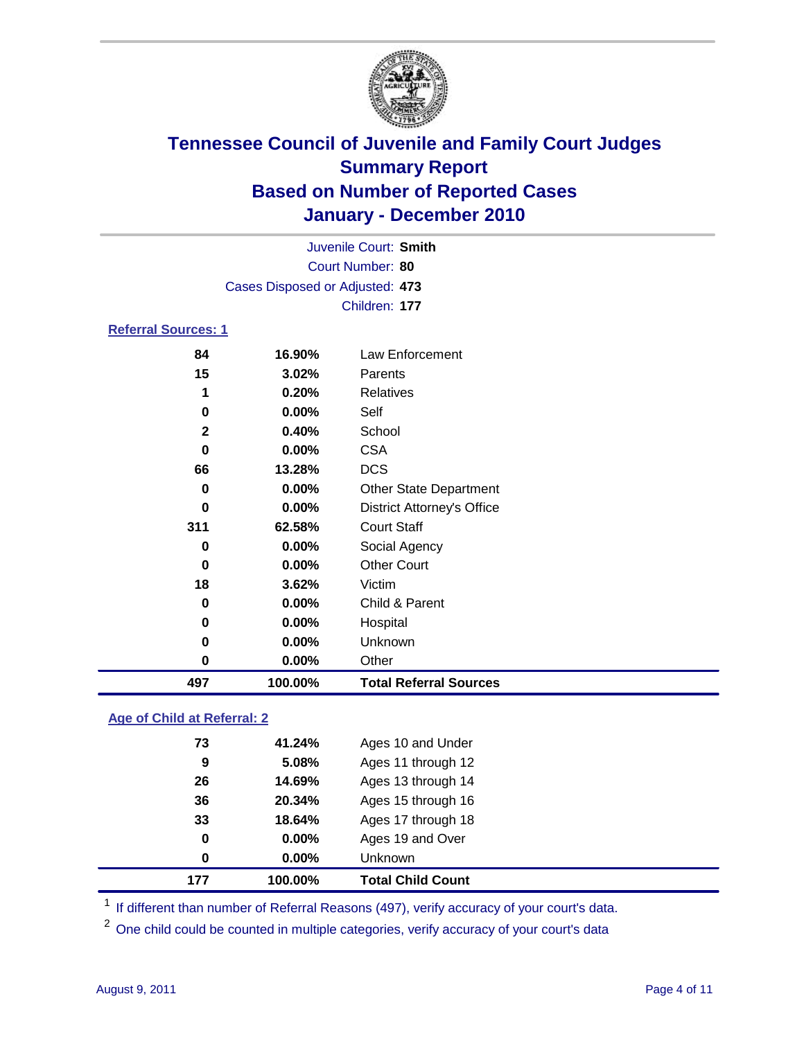

|                            |                                 | Juvenile Court: Smith             |  |
|----------------------------|---------------------------------|-----------------------------------|--|
|                            | Court Number: 80                |                                   |  |
|                            | Cases Disposed or Adjusted: 473 |                                   |  |
|                            | Children: 177                   |                                   |  |
| <b>Referral Sources: 1</b> |                                 |                                   |  |
| 84                         | 16.90%                          | Law Enforcement                   |  |
| 15                         | 3.02%                           | Parents                           |  |
| 1                          | 0.20%                           | <b>Relatives</b>                  |  |
| 0                          | $0.00\%$                        | Self                              |  |
| $\mathbf{2}$               | 0.40%                           | School                            |  |
| 0                          | $0.00\%$                        | <b>CSA</b>                        |  |
| 66                         | 13.28%                          | <b>DCS</b>                        |  |
| 0                          | $0.00\%$                        | <b>Other State Department</b>     |  |
| 0                          | $0.00\%$                        | <b>District Attorney's Office</b> |  |
| 311                        | 62.58%                          | <b>Court Staff</b>                |  |

| 497 | 100.00%  | <b>Total Referral Sources</b> |  |
|-----|----------|-------------------------------|--|
| 0   | $0.00\%$ | Other                         |  |
| 0   | $0.00\%$ | Unknown                       |  |
| 0   | 0.00%    | Hospital                      |  |
| 0   | $0.00\%$ | Child & Parent                |  |
| 18  | 3.62%    | Victim                        |  |
| 0   | $0.00\%$ | <b>Other Court</b>            |  |
| 0   | $0.00\%$ | Social Agency                 |  |

### **Age of Child at Referral: 2**

| 177 | 100.00% | <b>Total Child Count</b> |
|-----|---------|--------------------------|
| 0   | 0.00%   | Unknown                  |
| 0   | 0.00%   | Ages 19 and Over         |
| 33  | 18.64%  | Ages 17 through 18       |
| 36  | 20.34%  | Ages 15 through 16       |
| 26  | 14.69%  | Ages 13 through 14       |
| 9   | 5.08%   | Ages 11 through 12       |
| 73  | 41.24%  | Ages 10 and Under        |
|     |         |                          |

<sup>1</sup> If different than number of Referral Reasons (497), verify accuracy of your court's data.

<sup>2</sup> One child could be counted in multiple categories, verify accuracy of your court's data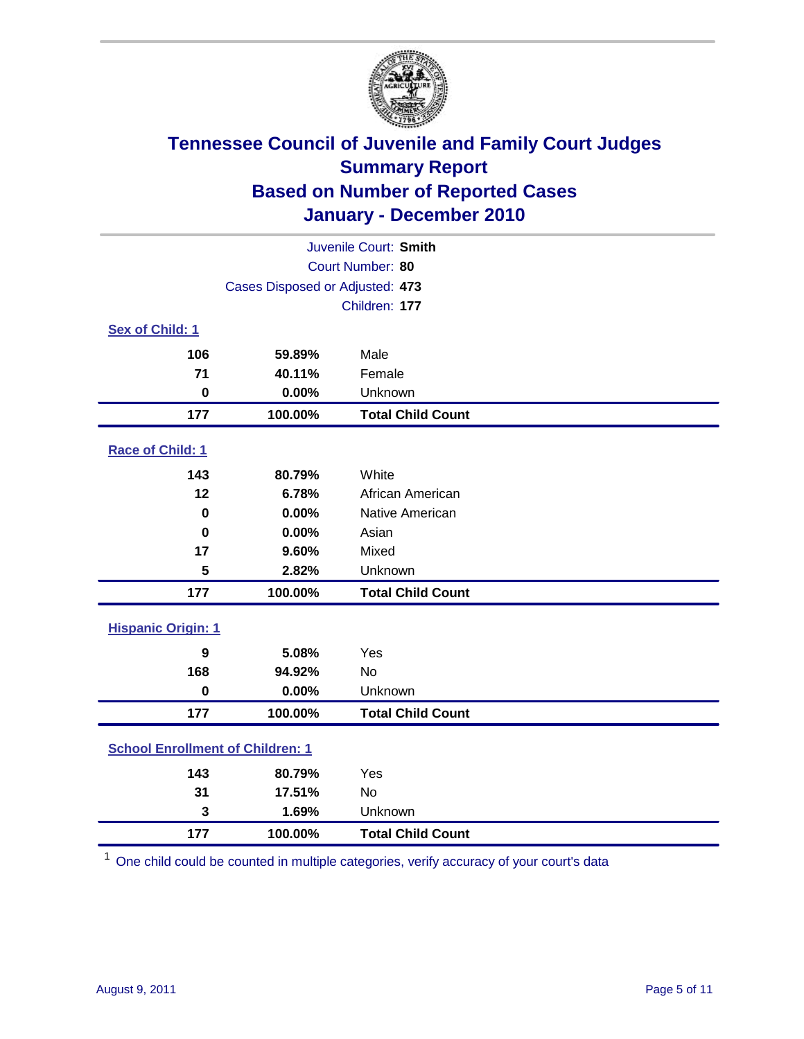

| Juvenile Court: Smith                   |                                 |                          |  |
|-----------------------------------------|---------------------------------|--------------------------|--|
| Court Number: 80                        |                                 |                          |  |
|                                         | Cases Disposed or Adjusted: 473 |                          |  |
|                                         |                                 | Children: 177            |  |
| Sex of Child: 1                         |                                 |                          |  |
| 106                                     | 59.89%                          | Male                     |  |
| 71                                      | 40.11%                          | Female                   |  |
| $\mathbf 0$                             | 0.00%                           | Unknown                  |  |
| 177                                     | 100.00%                         | <b>Total Child Count</b> |  |
| Race of Child: 1                        |                                 |                          |  |
| 143                                     | 80.79%                          | White                    |  |
| 12                                      | 6.78%                           | African American         |  |
| $\mathbf 0$                             | 0.00%                           | Native American          |  |
| $\mathbf 0$                             | 0.00%                           | Asian                    |  |
| 17                                      | 9.60%                           | Mixed                    |  |
| 5                                       | 2.82%                           | Unknown                  |  |
| 177                                     | 100.00%                         | <b>Total Child Count</b> |  |
| <b>Hispanic Origin: 1</b>               |                                 |                          |  |
| 9                                       | 5.08%                           | Yes                      |  |
| 168                                     | 94.92%                          | No                       |  |
| $\mathbf 0$                             | 0.00%                           | Unknown                  |  |
| 177                                     | 100.00%                         | <b>Total Child Count</b> |  |
| <b>School Enrollment of Children: 1</b> |                                 |                          |  |
| 143                                     | 80.79%                          | Yes                      |  |
| 31                                      | 17.51%                          | <b>No</b>                |  |
| 3                                       | 1.69%                           | Unknown                  |  |
| 177                                     | 100.00%                         | <b>Total Child Count</b> |  |

One child could be counted in multiple categories, verify accuracy of your court's data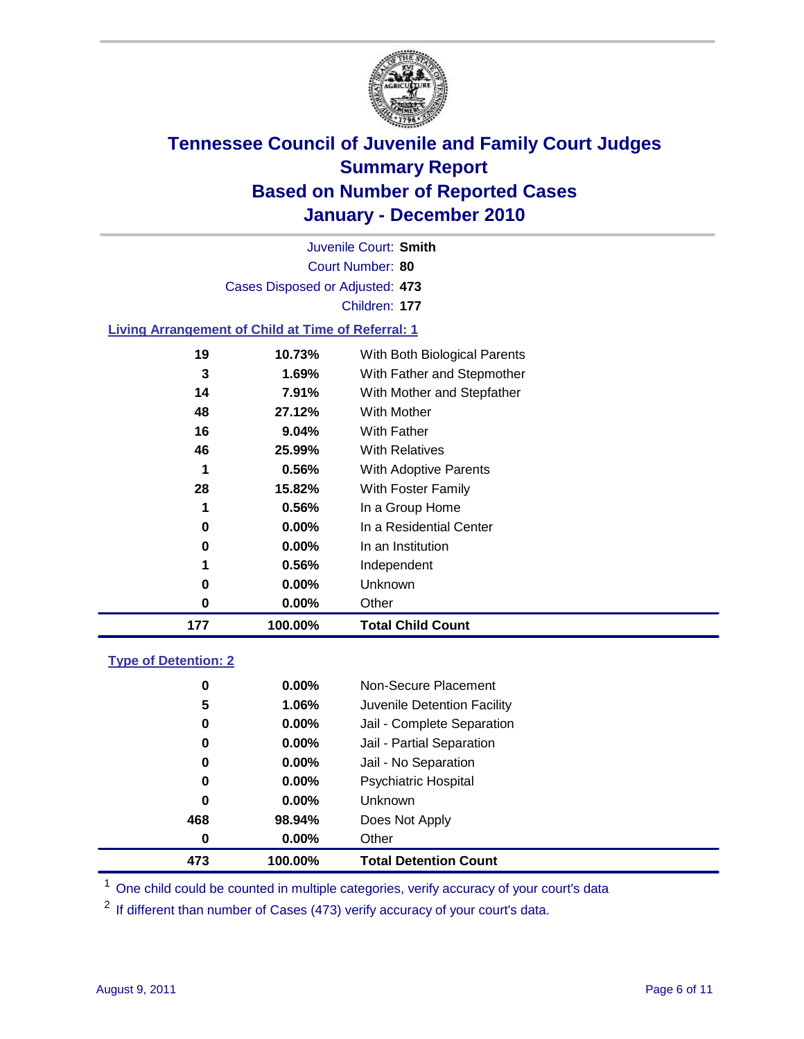

Court Number: **80** Juvenile Court: **Smith** Cases Disposed or Adjusted: **473** Children: **177**

### **Living Arrangement of Child at Time of Referral: 1**

| 177 | 100.00%  | <b>Total Child Count</b>     |
|-----|----------|------------------------------|
| 0   | 0.00%    | Other                        |
| 0   | $0.00\%$ | Unknown                      |
| 1   | 0.56%    | Independent                  |
| 0   | $0.00\%$ | In an Institution            |
| 0   | $0.00\%$ | In a Residential Center      |
| 1   | 0.56%    | In a Group Home              |
| 28  | 15.82%   | With Foster Family           |
| 1   | 0.56%    | With Adoptive Parents        |
| 46  | 25.99%   | <b>With Relatives</b>        |
| 16  | 9.04%    | <b>With Father</b>           |
| 48  | 27.12%   | With Mother                  |
| 14  | 7.91%    | With Mother and Stepfather   |
| 3   | 1.69%    | With Father and Stepmother   |
| 19  | 10.73%   | With Both Biological Parents |
|     |          |                              |

#### **Type of Detention: 2**

| 473 | 100.00%  | <b>Total Detention Count</b> |  |
|-----|----------|------------------------------|--|
| 0   | $0.00\%$ | Other                        |  |
| 468 | 98.94%   | Does Not Apply               |  |
| 0   | $0.00\%$ | <b>Unknown</b>               |  |
| 0   | 0.00%    | <b>Psychiatric Hospital</b>  |  |
| 0   | 0.00%    | Jail - No Separation         |  |
| 0   | $0.00\%$ | Jail - Partial Separation    |  |
| 0   | $0.00\%$ | Jail - Complete Separation   |  |
| 5   | 1.06%    | Juvenile Detention Facility  |  |
| 0   | $0.00\%$ | Non-Secure Placement         |  |
|     |          |                              |  |

<sup>1</sup> One child could be counted in multiple categories, verify accuracy of your court's data

<sup>2</sup> If different than number of Cases (473) verify accuracy of your court's data.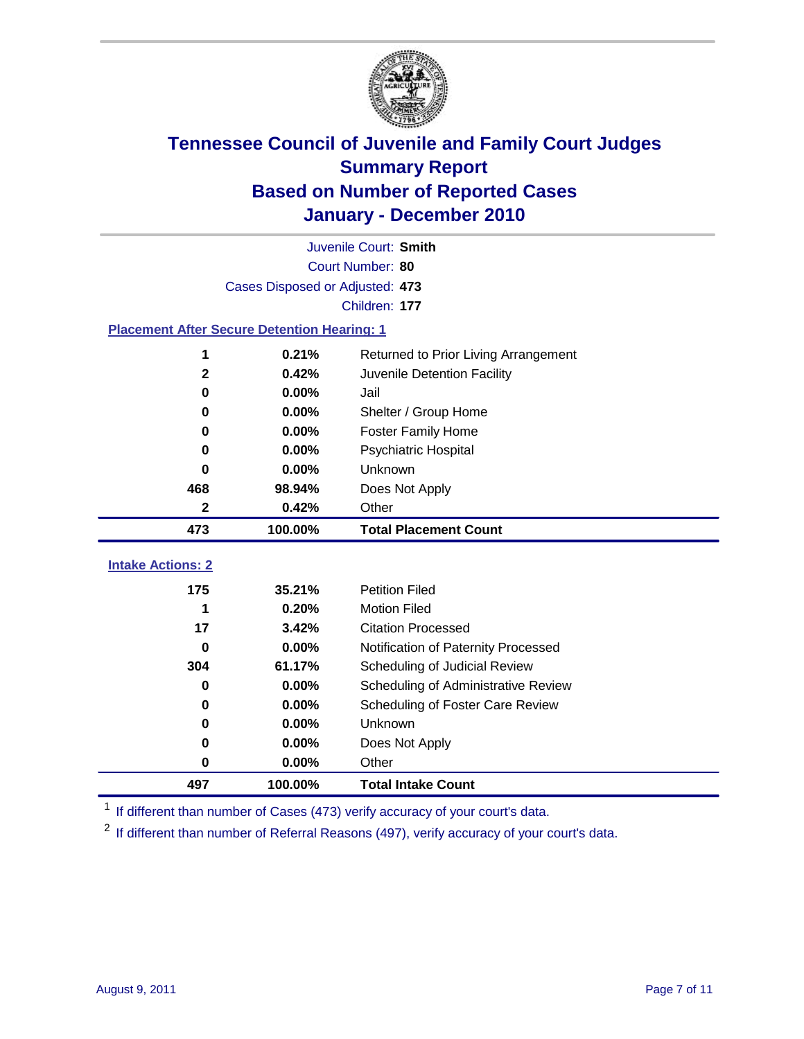

|                                                    | Juvenile Court: Smith           |                                      |  |  |  |
|----------------------------------------------------|---------------------------------|--------------------------------------|--|--|--|
|                                                    | Court Number: 80                |                                      |  |  |  |
|                                                    | Cases Disposed or Adjusted: 473 |                                      |  |  |  |
|                                                    | Children: 177                   |                                      |  |  |  |
| <b>Placement After Secure Detention Hearing: 1</b> |                                 |                                      |  |  |  |
| 1                                                  | 0.21%                           | Returned to Prior Living Arrangement |  |  |  |
| 2                                                  | 0.42%                           | Juvenile Detention Facility          |  |  |  |
| 0                                                  | 0.00%                           | Jail                                 |  |  |  |
| 0                                                  | 0.00%                           | Shelter / Group Home                 |  |  |  |
| 0                                                  | 0.00%                           | <b>Foster Family Home</b>            |  |  |  |
| 0                                                  | 0.00%                           | Psychiatric Hospital                 |  |  |  |
| 0                                                  | 0.00%                           | Unknown                              |  |  |  |
| 468                                                | 98.94%                          | Does Not Apply                       |  |  |  |
| $\mathbf 2$                                        | 0.42%                           | Other                                |  |  |  |
| 473                                                | 100.00%                         | <b>Total Placement Count</b>         |  |  |  |
| <b>Intake Actions: 2</b>                           |                                 |                                      |  |  |  |
|                                                    |                                 |                                      |  |  |  |
| 175                                                | 35.21%                          | <b>Petition Filed</b>                |  |  |  |
| 1                                                  | 0.20%                           | <b>Motion Filed</b>                  |  |  |  |
| 17                                                 | 3.42%                           | <b>Citation Processed</b>            |  |  |  |
| 0                                                  | 0.00%                           | Notification of Paternity Processed  |  |  |  |
| 304                                                | 61.17%                          | Scheduling of Judicial Review        |  |  |  |
| 0                                                  | 0.00%                           | Scheduling of Administrative Review  |  |  |  |
| 0                                                  | 0.00%                           | Scheduling of Foster Care Review     |  |  |  |
| 0                                                  | 0.00%                           | Unknown                              |  |  |  |
| 0                                                  | 0.00%                           | Does Not Apply                       |  |  |  |
| 0                                                  | 0.00%                           | Other                                |  |  |  |
| 497                                                | 100.00%                         | <b>Total Intake Count</b>            |  |  |  |

<sup>1</sup> If different than number of Cases (473) verify accuracy of your court's data.

<sup>2</sup> If different than number of Referral Reasons (497), verify accuracy of your court's data.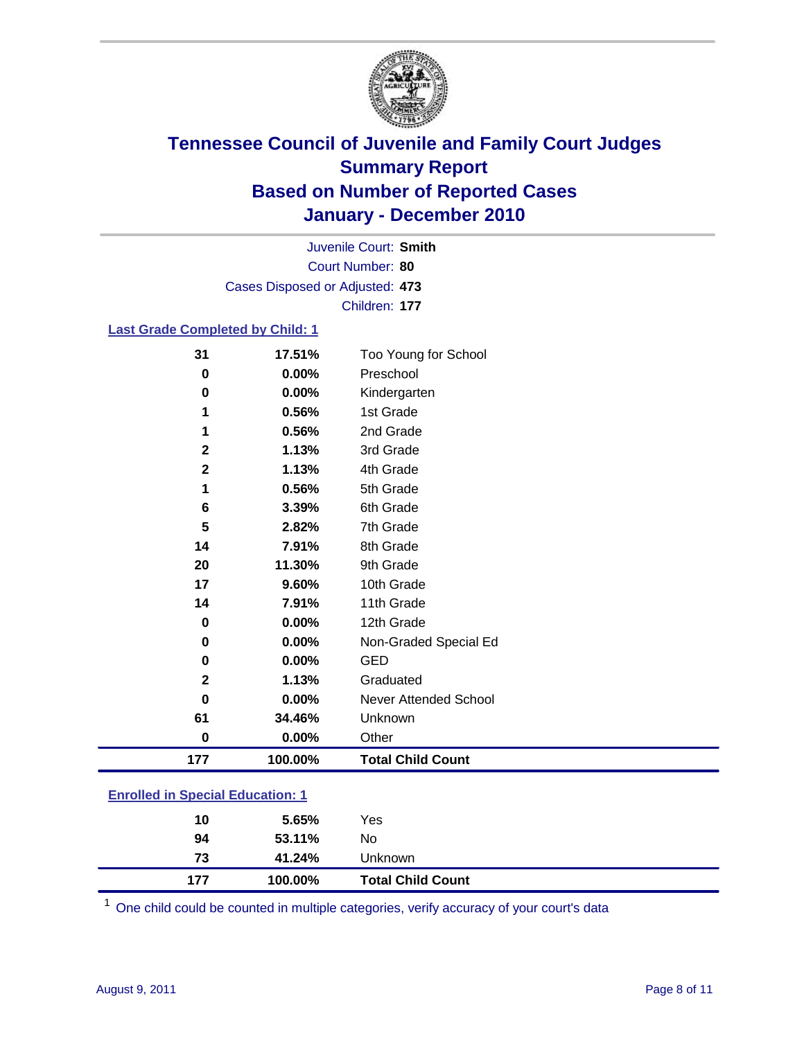

Court Number: **80** Juvenile Court: **Smith** Cases Disposed or Adjusted: **473** Children: **177**

### **Last Grade Completed by Child: 1**

| 31                                      | 17.51%  | Too Young for School         |
|-----------------------------------------|---------|------------------------------|
| $\bf{0}$                                | 0.00%   | Preschool                    |
| 0                                       | 0.00%   | Kindergarten                 |
| 1                                       | 0.56%   | 1st Grade                    |
| 1                                       | 0.56%   | 2nd Grade                    |
| $\mathbf{2}$                            | 1.13%   | 3rd Grade                    |
| $\overline{\mathbf{2}}$                 | 1.13%   | 4th Grade                    |
| 1                                       | 0.56%   | 5th Grade                    |
| 6                                       | 3.39%   | 6th Grade                    |
| 5                                       | 2.82%   | 7th Grade                    |
| 14                                      | 7.91%   | 8th Grade                    |
| 20                                      | 11.30%  | 9th Grade                    |
| 17                                      | 9.60%   | 10th Grade                   |
| 14                                      | 7.91%   | 11th Grade                   |
| 0                                       | 0.00%   | 12th Grade                   |
| 0                                       | 0.00%   | Non-Graded Special Ed        |
| 0                                       | 0.00%   | <b>GED</b>                   |
| $\mathbf{2}$                            | 1.13%   | Graduated                    |
| 0                                       | 0.00%   | <b>Never Attended School</b> |
| 61                                      | 34.46%  | Unknown                      |
| $\bf{0}$                                | 0.00%   | Other                        |
| 177                                     | 100.00% | <b>Total Child Count</b>     |
| <b>Enrolled in Special Education: 1</b> |         |                              |

| <b>Total Child Count</b> |
|--------------------------|
| Unknown                  |
|                          |
|                          |
|                          |

One child could be counted in multiple categories, verify accuracy of your court's data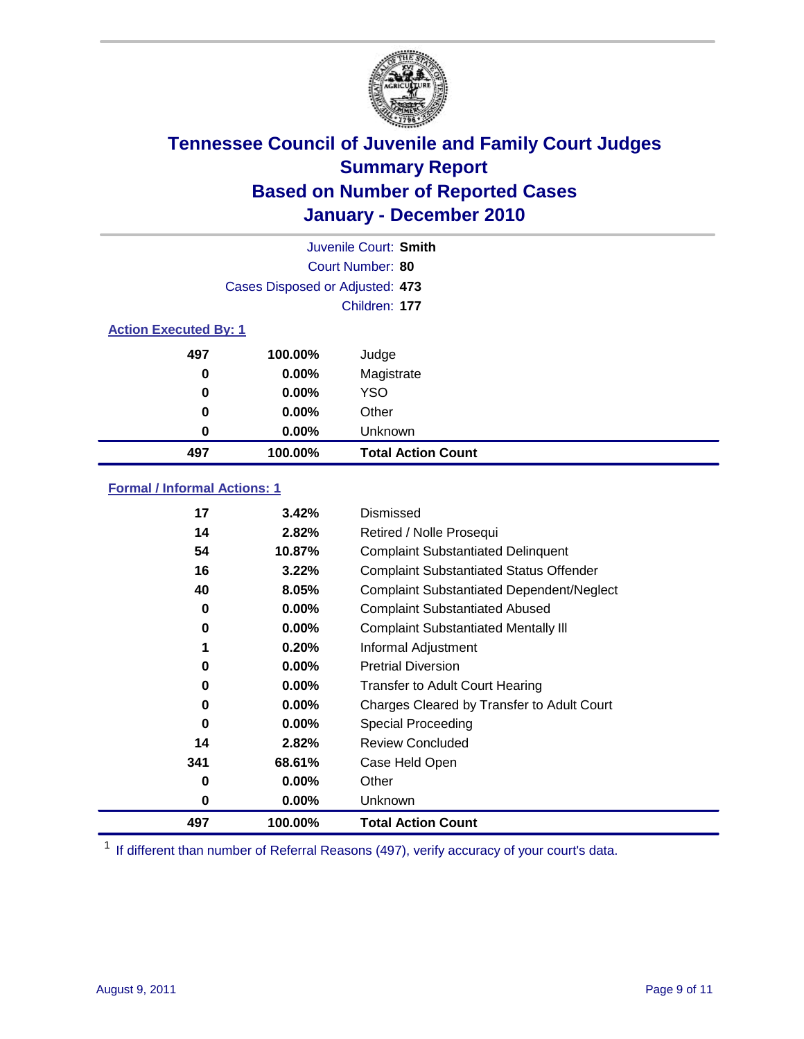

|                              |                                 | Juvenile Court: Smith     |
|------------------------------|---------------------------------|---------------------------|
|                              |                                 | Court Number: 80          |
|                              | Cases Disposed or Adjusted: 473 |                           |
|                              |                                 | Children: 177             |
| <b>Action Executed By: 1</b> |                                 |                           |
| 497                          | 100.00%                         | Judge                     |
| $\bf{0}$                     | $0.00\%$                        | Magistrate                |
| 0                            | 0.00%                           | <b>YSO</b>                |
| 0                            | 0.00%                           | Other                     |
| 0                            | 0.00%                           | Unknown                   |
| 497                          | 100.00%                         | <b>Total Action Count</b> |

### **Formal / Informal Actions: 1**

| 17  | 3.42%    | Dismissed                                        |
|-----|----------|--------------------------------------------------|
| 14  | 2.82%    | Retired / Nolle Prosequi                         |
| 54  | 10.87%   | <b>Complaint Substantiated Delinquent</b>        |
| 16  | 3.22%    | <b>Complaint Substantiated Status Offender</b>   |
| 40  | 8.05%    | <b>Complaint Substantiated Dependent/Neglect</b> |
| 0   | $0.00\%$ | <b>Complaint Substantiated Abused</b>            |
| 0   | $0.00\%$ | <b>Complaint Substantiated Mentally III</b>      |
| 1   | 0.20%    | Informal Adjustment                              |
| 0   | $0.00\%$ | <b>Pretrial Diversion</b>                        |
| 0   | $0.00\%$ | <b>Transfer to Adult Court Hearing</b>           |
| 0   | $0.00\%$ | Charges Cleared by Transfer to Adult Court       |
| 0   | $0.00\%$ | Special Proceeding                               |
| 14  | 2.82%    | <b>Review Concluded</b>                          |
| 341 | 68.61%   | Case Held Open                                   |
| 0   | $0.00\%$ | Other                                            |
| 0   | $0.00\%$ | Unknown                                          |
| 497 | 100.00%  | <b>Total Action Count</b>                        |

<sup>1</sup> If different than number of Referral Reasons (497), verify accuracy of your court's data.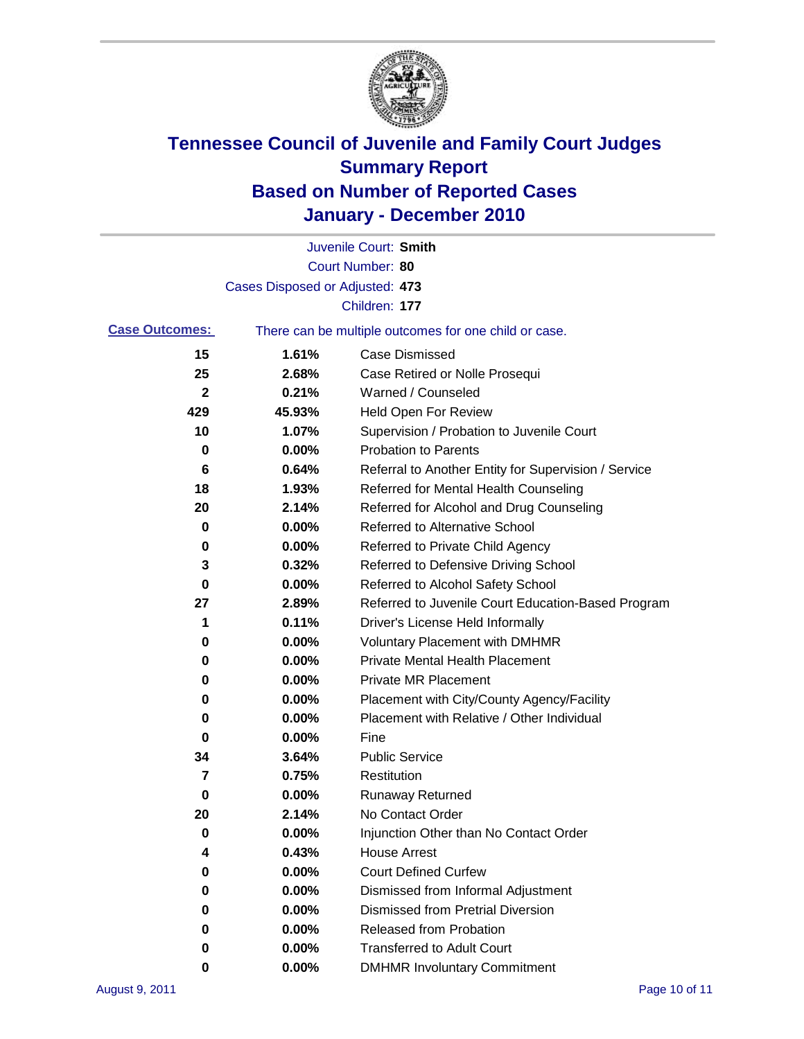

|                       |                                 | Juvenile Court: Smith                                 |
|-----------------------|---------------------------------|-------------------------------------------------------|
|                       |                                 | Court Number: 80                                      |
|                       | Cases Disposed or Adjusted: 473 |                                                       |
|                       |                                 | Children: 177                                         |
| <b>Case Outcomes:</b> |                                 | There can be multiple outcomes for one child or case. |
| 15                    | 1.61%                           | <b>Case Dismissed</b>                                 |
| 25                    | 2.68%                           | Case Retired or Nolle Prosequi                        |
| 2                     | 0.21%                           | Warned / Counseled                                    |
| 429                   | 45.93%                          | Held Open For Review                                  |
| 10                    | 1.07%                           | Supervision / Probation to Juvenile Court             |
| 0                     | 0.00%                           | <b>Probation to Parents</b>                           |
| 6                     | 0.64%                           | Referral to Another Entity for Supervision / Service  |
| 18                    | 1.93%                           | Referred for Mental Health Counseling                 |
| 20                    | 2.14%                           | Referred for Alcohol and Drug Counseling              |
| 0                     | 0.00%                           | <b>Referred to Alternative School</b>                 |
| 0                     | 0.00%                           | Referred to Private Child Agency                      |
| 3                     | 0.32%                           | Referred to Defensive Driving School                  |
| 0                     | 0.00%                           | Referred to Alcohol Safety School                     |
| 27                    | 2.89%                           | Referred to Juvenile Court Education-Based Program    |
| 1                     | 0.11%                           | Driver's License Held Informally                      |
| 0                     | 0.00%                           | <b>Voluntary Placement with DMHMR</b>                 |
| 0                     | 0.00%                           | <b>Private Mental Health Placement</b>                |
| 0                     | 0.00%                           | <b>Private MR Placement</b>                           |
| 0                     | 0.00%                           | Placement with City/County Agency/Facility            |
| 0                     | 0.00%                           | Placement with Relative / Other Individual            |
| 0                     | 0.00%                           | Fine                                                  |
| 34                    | 3.64%                           | <b>Public Service</b>                                 |
| 7                     | 0.75%                           | Restitution                                           |
| 0                     | 0.00%                           | Runaway Returned                                      |
| 20                    | 2.14%                           | No Contact Order                                      |
| 0                     | 0.00%                           | Injunction Other than No Contact Order                |
| 4                     | 0.43%                           | <b>House Arrest</b>                                   |
| 0                     | 0.00%                           | <b>Court Defined Curfew</b>                           |
| 0                     | 0.00%                           | Dismissed from Informal Adjustment                    |
| 0                     | 0.00%                           | <b>Dismissed from Pretrial Diversion</b>              |
| 0                     | 0.00%                           | Released from Probation                               |
| 0                     | 0.00%                           | <b>Transferred to Adult Court</b>                     |
| 0                     | $0.00\%$                        | <b>DMHMR Involuntary Commitment</b>                   |